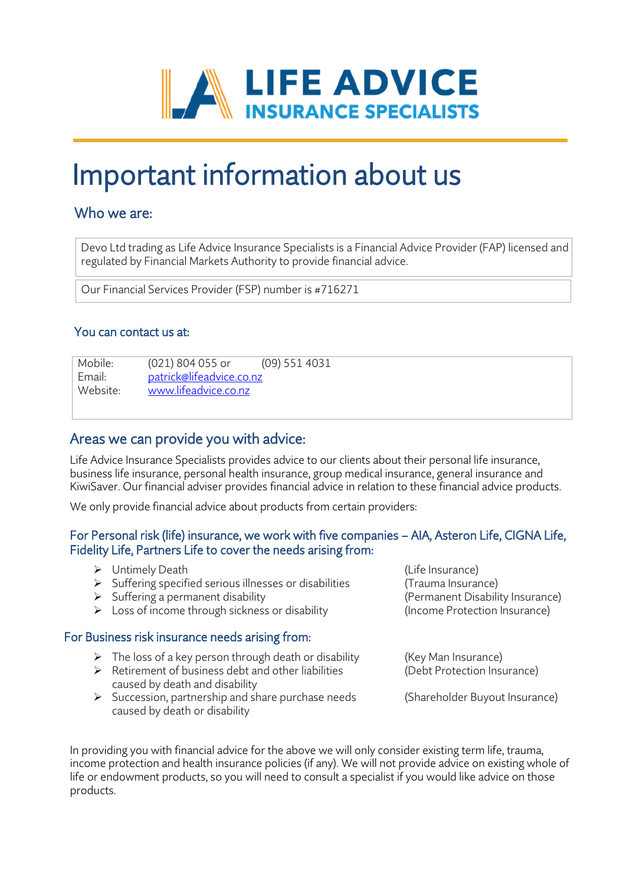

# Important information about us

## Who we are:

 $\overline{\phantom{a}}$ 

j

 $\overline{\phantom{a}}$ 

 $\overline{\phantom{a}}$  $\overline{a}$  Devo Ltd trading as Life Advice Insurance Specialists is a Financial Advice Provider (FAP) licensed and regulated by Financial Markets Authority to provide financial advice.

Our Financial Services Provider (FSP) number is #716271

### You can contact us at:

Mobile: Mobile: (021) 804 055 or (09) 551 4031<br>
Fmail: patrick@lifeadvice.co.nz Email: [patrick@lifeadvice.co.nz](mailto:patrick@lifeadvice.co.nz)<br>Website: www.lifeadvice.co.nz [www.lifeadvice.co.nz](http://www.lifeadvice.co.nz/)

## Areas we can provide you with advice:

Life Advice Insurance Specialists provides advice to our clients about their personal life insurance, business life insurance, personal health insurance, group medical insurance, general insurance and KiwiSaver. Our financial adviser provides financial advice in relation to these financial advice products.

We only provide financial advice about products from certain providers:

#### For Personal risk (life) insurance, we work with five companies – AIA, Asteron Life, CIGNA Life, Fidelity Life, Partners Life to cover the needs arising from:

- 
- ► Untimely Death<br>► Suffering specified serious illnesses or disabilities (Life Insurance) ➢ Suffering specified serious illnesses or disabilities (Trauma Insurance)
- ➢ Suffering a permanent disability (Permanent Disability Insurance)
- ➢ Loss of income through sickness or disability (Income Protection Insurance)

#### For Business risk insurance needs arising from:

- $\triangleright$  The loss of a key person through death or disability (Key Man Insurance)
- ➢ Retirement of business debt and other liabilities (Debt Protection Insurance) caused by death and disability
- ➢ Succession, partnership and share purchase needs (Shareholder Buyout Insurance) caused by death or disability

In providing you with financial advice for the above we will only consider existing term life, trauma, income protection and health insurance policies (if any). We will not provide advice on existing whole of life or endowment products, so you will need to consult a specialist if you would like advice on those products.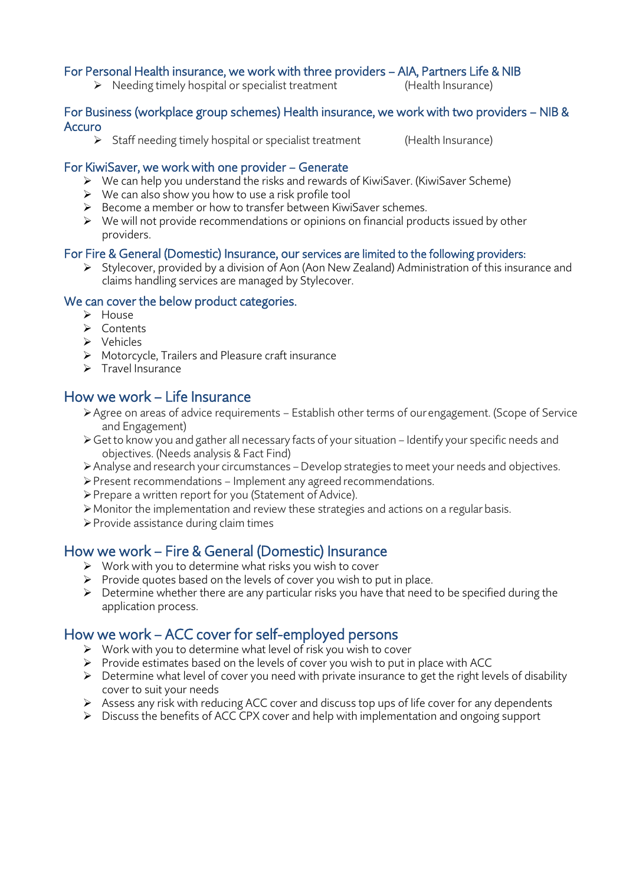#### For Personal Health insurance, we work with three providers – AIA, Partners Life & NIB

➢ Needing timely hospital or specialist treatment (Health Insurance)

#### For Business (workplace group schemes) Health insurance, we work with two providers – NIB & Accuro

➢ Staff needing timely hospital or specialist treatment (Health Insurance)

#### For KiwiSaver, we work with one provider – Generate

- ➢ We can help you understand the risks and rewards of KiwiSaver. (KiwiSaver Scheme)
- ➢ We can also show you how to use a risk profile tool
- ➢ Become a member or how to transfer between KiwiSaver schemes.
- $\triangleright$  We will not provide recommendations or opinions on financial products issued by other providers.

#### For Fire & General (Domestic) Insurance, our services are limited to the following providers:

➢ Stylecover, provided by a division of Aon (Aon New Zealand) Administration of this insurance and claims handling services are managed by Stylecover.

#### We can cover the below product categories.

- ➢ House
- ➢ Contents
- ➢ Vehicles
- ➢ Motorcycle, Trailers and Pleasure craft insurance
- ➢ Travel Insurance

## How we work – Life Insurance

- ➢Agree on areas of advice requirements Establish other terms of ourengagement. (Scope of Service and Engagement)
- ➢Get to know you and gather all necessary facts of your situation Identify your specific needs and objectives. (Needs analysis & Fact Find)
- ➢Analyse and research your circumstances Develop strategies to meet your needs and objectives.
- ➢Present recommendations Implement any agreed recommendations.
- ➢Prepare a written report for you (Statement of Advice).
- ➢Monitor the implementation and review these strategies and actions on a regularbasis.
- ➢Provide assistance during claim times

## How we work – Fire & General (Domestic) Insurance

- ➢ Work with you to determine what risks you wish to cover
- ➢ Provide quotes based on the levels of cover you wish to put in place.
- $\triangleright$  Determine whether there are any particular risks you have that need to be specified during the application process.

## How we work – ACC cover for self-employed persons

- ➢ Work with you to determine what level of risk you wish to cover
- $\triangleright$  Provide estimates based on the levels of cover you wish to put in place with ACC
- ➢ Determine what level of cover you need with private insurance to get the right levels of disability cover to suit your needs
- ➢ Assess any risk with reducing ACC cover and discuss top ups of life cover for any dependents
- ➢ Discuss the benefits of ACC CPX cover and help with implementation and ongoing support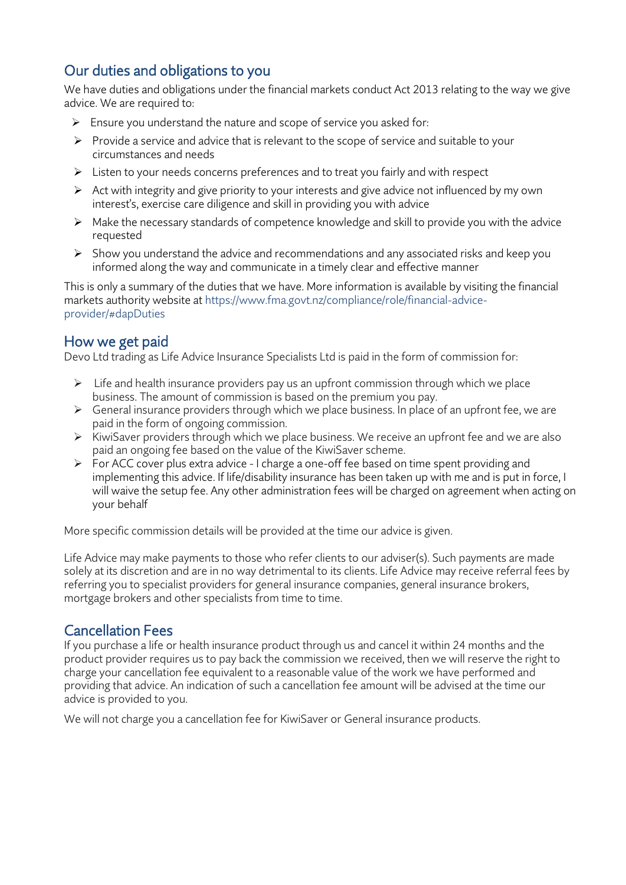# Our duties and obligations to you

We have duties and obligations under the financial markets conduct Act 2013 relating to the way we give advice. We are required to:

- $\triangleright$  Ensure you understand the nature and scope of service you asked for:
- ➢ Provide a service and advice that is relevant to the scope of service and suitable to your circumstances and needs
- ➢ Listen to your needs concerns preferences and to treat you fairly and with respect
- $\triangleright$  Act with integrity and give priority to your interests and give advice not influenced by my own interest's, exercise care diligence and skill in providing you with advice
- ➢ Make the necessary standards of competence knowledge and skill to provide you with the advice requested
- ➢ Show you understand the advice and recommendations and any associated risks and keep you informed along the way and communicate in a timely clear and effective manner

This is only a summary of the duties that we have. More information is available by visiting the financial markets authority website at https://www.fma.govt.nz/compliance/role/financial-adviceprovider/#dapDuties

# How we get paid

Devo Ltd trading as Life Advice Insurance Specialists Ltd is paid in the form of commission for:

- $\triangleright$  Life and health insurance providers pay us an upfront commission through which we place business. The amount of commission is based on the premium you pay.
- ➢ General insurance providers through which we place business. In place of an upfront fee, we are paid in the form of ongoing commission.
- ➢ KiwiSaver providers through which we place business. We receive an upfront fee and we are also paid an ongoing fee based on the value of the KiwiSaver scheme.
- ➢ For ACC cover plus extra advice I charge a one-off fee based on time spent providing and implementing this advice. If life/disability insurance has been taken up with me and is put in force, I will waive the setup fee. Any other administration fees will be charged on agreement when acting on your behalf

More specific commission details will be provided at the time our advice is given.

Life Advice may make payments to those who refer clients to our adviser(s). Such payments are made solely at its discretion and are in no way detrimental to its clients. Life Advice may receive referral fees by referring you to specialist providers for general insurance companies, general insurance brokers, mortgage brokers and other specialists from time to time.

# Cancellation Fees

If you purchase a life or health insurance product through us and cancel it within 24 months and the product provider requires us to pay back the commission we received, then we will reserve the right to charge your cancellation fee equivalent to a reasonable value of the work we have performed and providing that advice. An indication of such a cancellation fee amount will be advised at the time our advice is provided to you.

We will not charge you a cancellation fee for KiwiSaver or General insurance products.